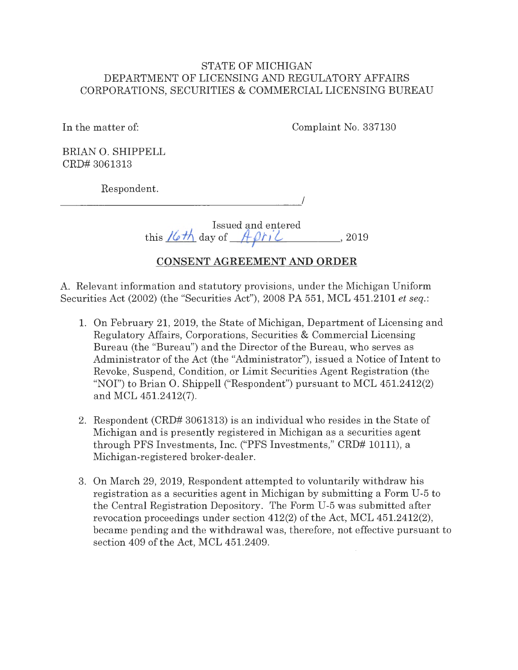## STATE OF MICHIGAN DEPARTMENT OF LICENSING AND REGULATORY AFFAIRS CORPORATIONS, SECURITIES & COMMERCIAL LICENSING BUREAU

In the matter of:

Complaint No. 337130

BRIAN O. SHIPPELL CRD# 3061313

Respondent.

---------------------

I

Issued and entered this  $\frac{16\pi}{4}$  day of  $\frac{16\pi}{4}$  *A*  $\frac{16\pi}{4}$  *z* 019

# **CONSENT AGREEMENT AND ORDER**

A. Relevant information and statutory provisions, under the Michigan Uniform Securities Act (2002) (the "Securities Act"), 2008 PA 551, MCL 451.2101 *et seq.:* 

- 1. On February 21, 2019, the State of Michigan, Department of Licensing and Regulatory Affairs, Corporations, Securities & Commercial Licensing Bureau (the "Bureau") and the Director of the Bureau, who serves as Administrator of the Act (the "Administrator"), issued a Notice of Intent to Revoke, Suspend, Condition, or Limit Securities Agent Registration (the "NOI") to Brian 0. Shippell ("Respondent") pursuant to MCL 451.2412(2) and MCL 451.2412(7).
- 2. Respondent (CRD# 3061313) is an individual who resides in the State of Michigan and is presently registered in Michigan as a securities agent through PFS Investments, Inc. ("PFS Investments," CRD# 10111), a Michigan-registered broker-dealer.
- 3. On March 29, 2019, Respondent attempted to voluntarily withdraw his registration as a securities agent in Michigan by submitting a Form U-5 to the Central Registration Depository. The Form U-5 was submitted after revocation proceedings under section 412(2) of the Act, MCL 451.2412(2), became pending and the withdrawal was, therefore, not effective pursuant to section 409 of the Act, MCL 451.2409.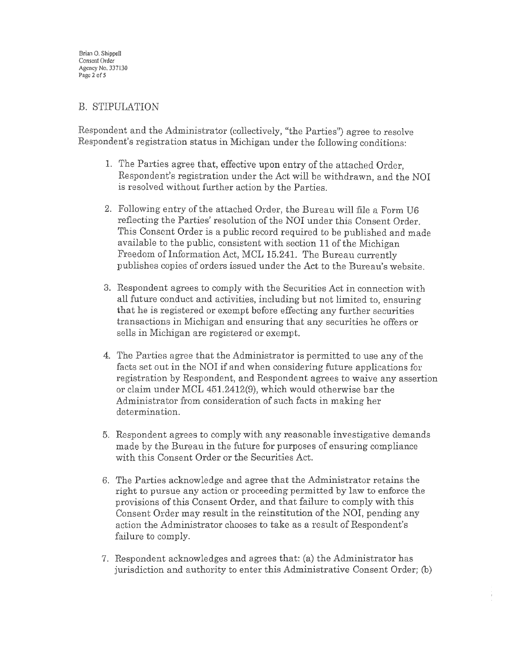## B. STIPULATION

Respondent and the Administrator (collectively, "the Parties") agree to resolve Respondent's registration status in Michigan under the following conditions:

- 1. The Parties agree that, effective upon entry of the attached Order, Respondent's registration under the Act will be withdrawn, and the NOI is resolved without further action by the Parties.
- 2. Following entry of the attached Order, the Bureau will file a Form U6 reflecting the Parties' resolution of the NOI under this Consent Order. This Consent Order is a public record required to be published and made available to the public, consistent with section 11 of the Michigan Freedom of Information Act, MCL 15.241. The Bureau currently publishes copies of orders issued under the Act to the Bureau's website.
- 3. Respondent agrees to comply with the Securities Act in connection with all futme conduct and activities, including but not limited to, ensuring that he is registered or exempt before effecting any further secmities transactions in Michigan and ensuring that any securities he offers or sells in Michigan are registered or exempt.
- 4. The Parties agree that the Administrator is permitted to use any of the facts set out in the NOI if and when considering future applications for registration by Respondent, and Respondent agrees to waive any assertion or claim under MCL 451.2412(9), which would otherwise bar the Administrator from consideration of such facts in making her determination.
- 5. Respondent agrees to comply with any reasonable investigative demands made by the Bureau in the future for purposes of ensuring compliance with this Consent Order or the Securities Act.
- 6. The Parties acknowledge and agree that the Administrator retains the right to pursue any action or proceeding permitted by law to enforce the provisions of this Consent Order, and that failure to comply with this Consent Order may result in the reinstitution of the **NOI,** pending any action the Administrator chooses to take as a result of Respondent's failure to comply.
- 7. Respondent acknowledges and agrees that: (a) the Administrator has jurisdiction and authority to enter this Administrative Consent Order; (b)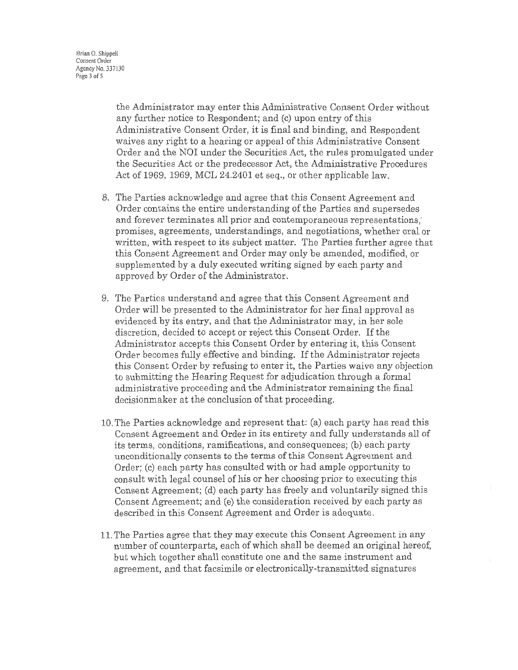the Administrator may enter this Administrative Consent Order without any further notice to Respondent; and (c) upon entry of this Administrative Consent Order, it is final and binding, and Respondent waives any right to a hearing or appeal of this Administrative Consent Order and the NOI under the Securities Act, the rules promulgated under the Securities Act or the predecessor Act, the Administrative Procedures Act of 1969, 1969, MCL 24.2401 et seq., or other applicable law.

- 8. The Parties acknowledge and agree that this Consent Agreement and Order contains the entire understanding of the Parties and supersedes and forever terminates all prior and contemporaneous representations, promises, agreements, understandings, and negotiations, whether oral or written, with respect to its subject matter. The Parties further agree that this Consent Agreement and Order may only be amended, modified, or supplemented by a duly executed writing signed by each party and approved by Order of the Administrator.
- 9. The Parties understand and agree that this Consent Agreement and Order will be presented to the Administrator for her final approval as evidenced by its entry, and that the Administrator may, in her sole discretion, decided to accept or reject this Consent Order. If the Administrator accepts this Consent Order by entering it, this Consent Order becomes fully effective and binding. If the Administrator rejects this Consent Order by refusing to enter it, the Parties waive any objection to submitting the Hearing Request for adjudication through a formal administrative proceeding and the Administrator remaining the final decisionmaker at the conclusion of that proceeding.
- 10. The Parties acknowledge and represent that: (a) each party has read this Consent Agreement and Order in its entirety and fully understands all of its terms, conditions, ramifications, and consequences; (b) each party unconditionally consents to the terms of this Consent Agreement and Order; (c) each party has consulted with or had ample opportunity to consult with legal counsel of his or her choosing prior to executing this Consent Agreement; (d) each party has freely and voluntarily signed this Consent Agreement; and (e) the consideration received by each party as described in this Consent Agreement and Order is adequate.
- 11. The Parties agree that they may execute this Consent Agreement in any number of counterparts, each of which shall be deemed an original hereof, but which together shall constitute one and the same instrument and agreement, and that facsimile or electronically-transmitted signatures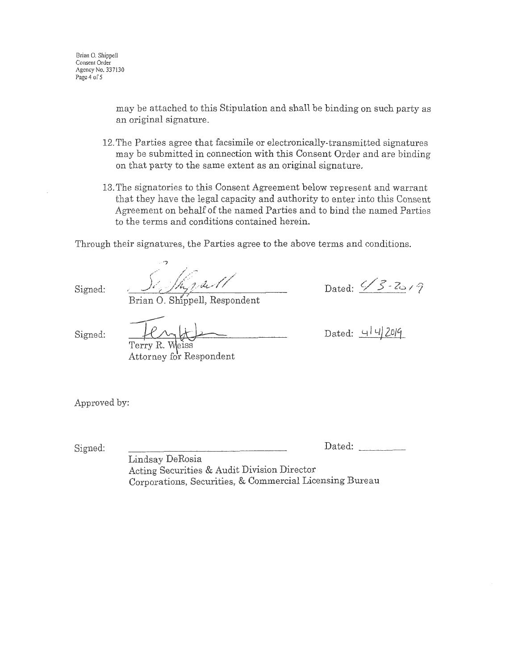may be attached to this Stipulation and shall be binding on such party as an original signature.

- 12. The Parties agree that facsimile or electronically-transmitted signatures may be submitted in connection with this Consent Order and are binding on that party to the same extent as an original signature.
- 13. The signatories to this Consent Agreement below represent and warrant that they have the legal capacity and authority to enter into this Consent Agreement on behalf of the named Parties and to bind the named Parties to the terms and conditions contained herein.

Through their signatures, the Parties agree to the above terms and conditions .

..-7 hipart

Brian O. Shippell, Respondent

Dated:  $\frac{\sqrt{3}}{2}$ 

Signed:

Signed:

Terry R. Weiss Attorney for Respondent

Dated: 4/4/2019 *i* 

Approved by:

Signed: <u>Dated:</u> Dated: Dated:

Lindsay DeRosia Acting Securities & Audit Division Director Corporations, Securities, & Commercial Licensing Bureau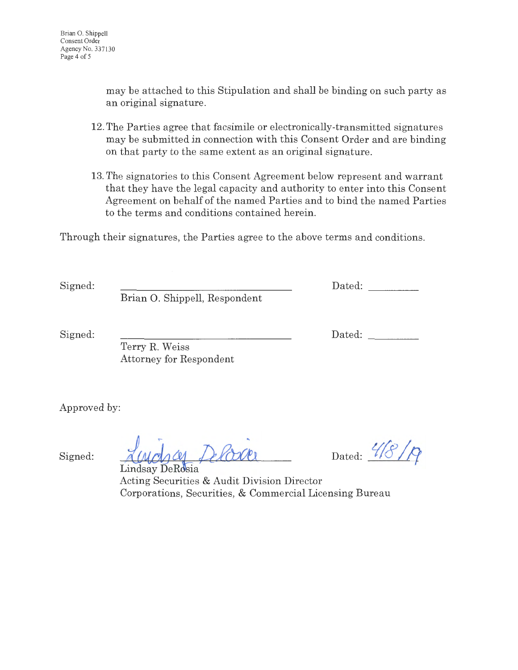may be attached to this Stipulation and shall be binding on such party as an original signature.

- 12. The Parties agree that facsimile or electronically-transmitted signatures may be submitted in connection with this Consent Order and are binding on that party to the same extent as an original signature.
- 13. The signatories to this Consent Agreement below represent and warrant that they have the legal capacity and authority to enter into this Consent Agreement on behalf of the named Parties and to bind the named Parties to the terms and conditions contained herein.

Through their signatures, the Parties agree to the above terms and conditions.

Signed: Dated: Brian O. Shippell, Respondent

Signed: Dated:

Terry R. Weiss Attorney for Respondent

Approved by:

Signed:

Lindsay DeRosia

Dated:  $\frac{4}{8}$ 

Acting Securities & Audit Division Director Corporations, Securities, & Commercial Licensing Bureau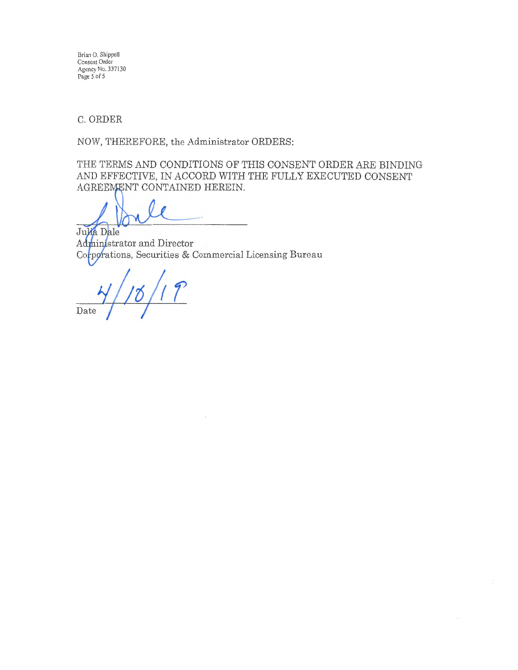Brian 0. Shippell Consent Order Agency No. 337130 Page 5 of 5

C. ORDER

NOW, THEREFORE, the Administrator ORDERS:

THE TERMS AND CONDITIONS OF THIS CONSENT ORDER ARE BINDING AND EFFECTIVE, IN ACCORD WITH THE FULLY EXECUTED CONSENT AGREEMENT CONTAINED HEREIN.

Julia Dale Administrator and Director Corporations, Securities & Commercial Licensing Bureau

Date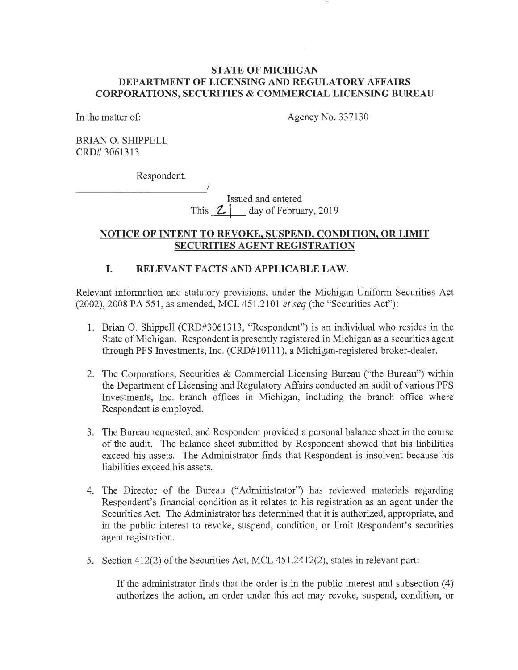#### **STATE OF MICHIGAN DEPARTMENT OF LICENSING AND REGULATORY AFFAIRS CORPORATIONS, SECURITIES & COMMERCIAL LICENSING BUREAU**

In the matter of:

Agency No. 337130

BRIAN 0. SHIPPELL CRD# 3061313

Respondent.

I ------------Issued and entered This  $2\frac{1}{2}$  day of February, 2019

#### **NOTICE OF INTENT TO REVOKE, SUSPEND, CONDITION, OR LIMIT SECURITIES AGENT REGISTRATION**

### **I. RELEVANT FACTS AND APPLICABLE LAW.**

Relevant information and statutory provisions, under the Michigan Uniform Securities Act (2002), 2008 PA 551, as amended, MCL 451.2101 *et seq* (the "Securities Act"):

- 1. Brian 0. Shippell (CRD#3061313, "Respondent") is an individual who resides in the State of Michigan. Respondent is presently registered in Michigan as a securities agent through PFS Investments, Inc. (CRD#10111), a Michigan-registered broker-dealer.
- 2. The Corporations, Securities & Commercial Licensing Bureau ("the Bureau") within the Department of Licensing and Regulatory Affairs conducted an audit of various PFS Investments, Inc. branch offices in Michigan, including the branch office where Respondent is employed.
- 3. The Bureau requested, and Respondent provided a personal balance sheet in the course of the audit. The balance sheet submitted by Respondent showed that his liabilities exceed his assets. The Administrator finds that Respondent is insolvent because his liabilities exceed his assets.
- 4. The Director of the Bureau ("Administrator") has reviewed materials regarding Respondent's financial condition as it relates to his registration as an agent under the Securities Act. The Administrator has determined that it is authorized, appropriate, and in the public interest to revoke, suspend, condition, or limit Respondent's securities agent registration.
- 5. Section 412(2) of the Securities Act, MCL 451.2412(2), states in relevant part:

If the administrator finds that the order is in the public interest and subsection  $(4)$ authorizes the action, an order under this act may revoke, suspend, condition, or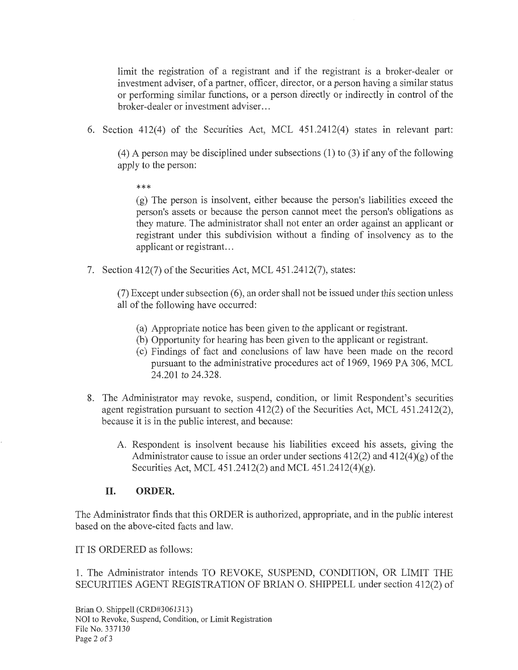limit the registration of a registrant and if the registrant is a broker-dealer or investment adviser, of a partner, officer, director, or a person having a similar status or performing similar functions, or a person directly or indirectly in control of the broker-dealer or investment adviser. ..

6. Section 412(4) of the Securities Act, MCL 451.2412(4) states in relevant part:

(4) A person may be disciplined under subsections (1) to (3) if any of the following apply to the person:

\*\*\*

(g) The person is insolvent, either because the person's liabilities exceed the person's assets or because the person cannot meet the person's obligations as they mature. The administrator shall not enter an order against an applicant or registrant under this subdivision without a finding of insolvency as to the applicant or registrant...

7. Section 412(7) of the Securities Act, MCL 451.2412(7), states:

 $(7)$  Except under subsection  $(6)$ , an order shall not be issued under this section unless all of the following have occurred:

- (a) Appropriate notice has been given to the applicant or registrant.
- (b) Opportunity for hearing has been given to the applicant or registrant.
- ( c) Findings of fact and conclusions of law have been made on the record pursuant to the administrative procedures act of 1969, 1969 PA 306, MCL 24.201 to 24.328.
- 8. The Administrator may revoke, suspend, condition, or limit Respondent's securities agent registration pursuant to section 412(2) of the Securities Act, MCL 451.2412(2), because it is in the public interest, and because:
	- A. Respondent is insolvent because his liabilities exceed his assets, giving the Administrator cause to issue an order under sections  $412(2)$  and  $412(4)(g)$  of the Securities Act, MCL 451.2412(2) and MCL 451.2412(4)(g).

#### **II. ORDER.**

The Administrator finds that this ORDER is authorized, appropriate, and in the public interest based on the above-cited facts and law.

IT IS ORDERED as follows:

1. The Administrator intends TO REVOKE, SUSPEND, CONDITION, OR LIMIT THE SECURITIES AGENT REGISTRATION OF BRIAN 0. SHIPPELL under section 412(2) of